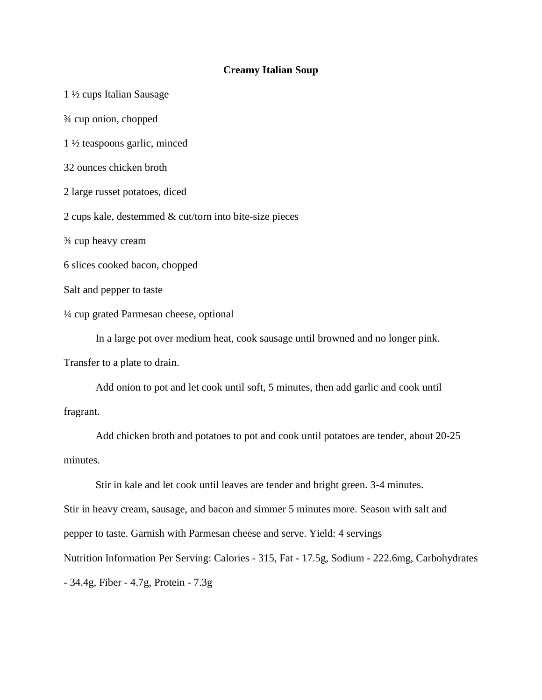## **Creamy Italian Soup**

1 ½ cups Italian Sausage ¾ cup onion, chopped 1 ½ teaspoons garlic, minced 32 ounces chicken broth 2 large russet potatoes, diced 2 cups kale, destemmed & cut/torn into bite-size pieces ¾ cup heavy cream 6 slices cooked bacon, chopped Salt and pepper to taste ¼ cup grated Parmesan cheese, optional In a large pot over medium heat, cook sausage until browned and no longer pink.

Transfer to a plate to drain.

Add onion to pot and let cook until soft, 5 minutes, then add garlic and cook until fragrant.

Add chicken broth and potatoes to pot and cook until potatoes are tender, about 20-25 minutes.

Stir in kale and let cook until leaves are tender and bright green. 3-4 minutes. Stir in heavy cream, sausage, and bacon and simmer 5 minutes more. Season with salt and pepper to taste. Garnish with Parmesan cheese and serve. Yield: 4 servings Nutrition Information Per Serving: Calories - 315, Fat - 17.5g, Sodium - 222.6mg, Carbohydrates - 34.4g, Fiber - 4.7g, Protein - 7.3g